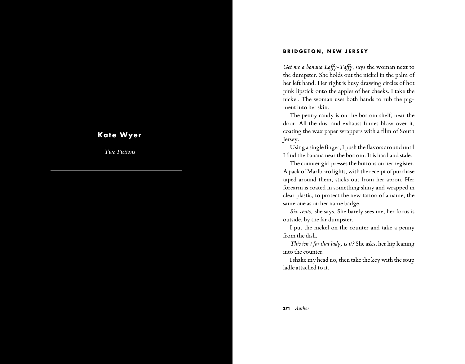## **BRIDGETON, NEW JERSEY**

*Get me a banana Laffy-Taffy*, says the woman next to the dumpster. She holds out the nickel in the palm of her left hand. Her right is busy drawing circles of hot pink lipstick onto the apples of her cheeks. I take the nickel. The woman uses both hands to rub the pig ment into her skin.

The penny candy is on the bottom shelf, near the door. All the dust and exhaust fumes blow over it, coating the wax paper wrappers with a film of South Jersey.

Using a single finger, I push the flavors around until I find the banana near the bottom. It is hard and stale.

The counter girl presses the buttons on her register. A pack of Marlboro lights, with the receipt of purchase taped around them, sticks out from her apron. Her forearm is coated in something shiny and wrapped in clear plastic, to protect the new tattoo of a name, the same one as on her name badge.

*Six cents,* she says. She barely sees me, her focus is outside, by the far dumpster.

I put the nickel on the counter and take a penny from the dish.

*This isn't for that lady, is it?* She asks, her hip leaning into the counter.

I shake my head no, then take the key with the soup ladle attached to it.

## **Kate Wyer**

*Two Fictions*